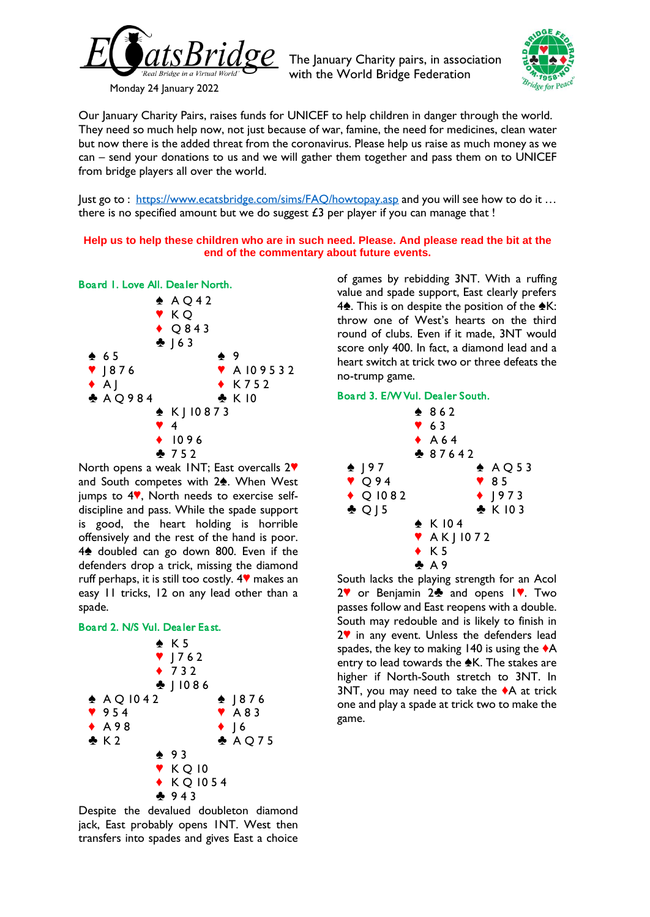

The January Charity pairs, in association with the World Bridge Federation



Our January Charity Pairs, raises funds for [UNICEF](https://www.unicef.org.uk/) to help children in danger through the world. They need so much help now, not just because of war, famine, the need for medicines, clean water but now there is the added threat from the coronavirus. Please help us raise as much money as we can – send your donations to us and we will gather them together and pass them on to UNICEF from bridge players all over the world.

Just go to : <https://www.ecatsbridge.com/sims/FAQ/howtopay.asp> and you will see how to do it ... there is no specified amount but we do suggest  $£3$  per player if you can manage that !

**Help us to help these children who are in such need. Please. And please read the bit at the end of the commentary about future events.**



North opens a weak INT; East overcalls 2<sup> $\blacktriangledown$ </sup> and South competes with  $2\spadesuit$ . When West jumps to  $4$ <sup> $\vee$ </sup>, North needs to exercise selfdiscipline and pass. While the spade support is good, the heart holding is horrible offensively and the rest of the hand is poor. 4<sup>\*</sup> doubled can go down 800. Even if the defenders drop a trick, missing the diamond ruff perhaps, it is still too costly.  $4$  makes an easy 11 tricks, 12 on any lead other than a spade.

# Board 2. N/S Vul. Dealer East.



Despite the devalued doubleton diamond jack, East probably opens 1NT. West then transfers into spades and gives East a choice

of games by rebidding 3NT. With a ruffing value and spade support, East clearly prefers 4<sup> $\spadesuit$ </sup>. This is on despite the position of the  $\spadesuit$ K: throw one of West's hearts on the third round of clubs. Even if it made, 3NT would score only 400. In fact, a diamond lead and a heart switch at trick two or three defeats the no-trump game.

### Board 3. E/W Vul. Dealer South.



South lacks the playing strength for an Acol  $2$  or Benjamin  $2$  and opens  $1$ . Two passes follow and East reopens with a double. South may redouble and is likely to finish in  $2$ <sup> $\blacktriangledown$ </sup> in any event. Unless the defenders lead spades, the key to making 140 is using the  $\blacklozenge$ A entry to lead towards the  $\triangle$ K. The stakes are higher if North-South stretch to 3NT. In 3NT, you may need to take the  $\triangle$ A at trick one and play a spade at trick two to make the game.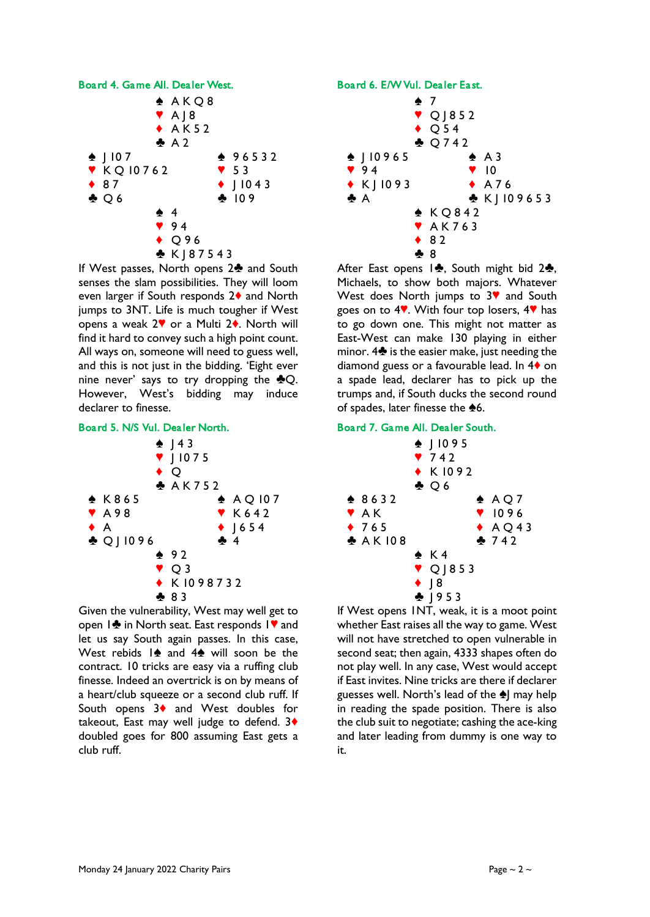

If West passes, North opens 2<sup>4</sup> and South senses the slam possibilities. They will loom even larger if South responds  $2\blacklozenge$  and North jumps to 3NT. Life is much tougher if West opens a weak  $2\mathbf{v}$  or a Multi  $2\mathbf{v}$ . North will find it hard to convey such a high point count. All ways on, someone will need to guess well, and this is not just in the bidding. 'Eight ever nine never' says to try dropping the  $\clubsuit Q$ . However, West's bidding may induce declarer to finesse.

# Board 5. N/S Vul. Dealer North.



Given the vulnerability, West may well get to open 1<sup>2</sup> in North seat. East responds 1<sup>9</sup> and let us say South again passes. In this case, West rebids  $1\spadesuit$  and  $4\spadesuit$  will soon be the contract. 10 tricks are easy via a ruffing club finesse. Indeed an overtrick is on by means of a heart/club squeeze or a second club ruff. If South opens  $3\blacklozenge$  and West doubles for takeout, East may well judge to defend. 3<sup>+</sup> doubled goes for 800 assuming East gets a club ruff.

#### Board 6. E/W Vul. Dealer East.



After East opens  $1\clubsuit$ , South might bid  $2\clubsuit$ , Michaels, to show both majors. Whatever West does North jumps to  $3$ <sup> $\bullet$ </sup> and South goes on to  $4$ . With four top losers,  $4$  has to go down one. This might not matter as East-West can make 130 playing in either minor.  $4\clubsuit$  is the easier make, just needing the diamond guess or a favourable lead. In  $4\diamond$  on a spade lead, declarer has to pick up the trumps and, if South ducks the second round of spades, later finesse the  $\clubsuit 6$ .

## Board 7. Game All. Dealer South.

|           | $\bullet$   1095<br>742<br>$\bullet$ K1092<br>$\clubsuit$ Q 6 |
|-----------|---------------------------------------------------------------|
| $*8632$   | $\triangle$ AQ7                                               |
| ♥ AK      | $\P$ 1096                                                     |
| 4765      | $\triangle$ AQ43                                              |
| ♣ A K 108 | 2 742                                                         |
|           | $\spadesuit$ K4                                               |
|           | $\triangledown$ Q   853                                       |
|           | $\bullet$   8                                                 |
|           | $-1953$                                                       |

If West opens 1NT, weak, it is a moot point whether East raises all the way to game. West will not have stretched to open vulnerable in second seat; then again, 4333 shapes often do not play well. In any case, West would accept if East invites. Nine tricks are there if declarer guesses well. North's lead of the  $\triangle$  may help in reading the spade position. There is also the club suit to negotiate; cashing the ace-king and later leading from dummy is one way to it.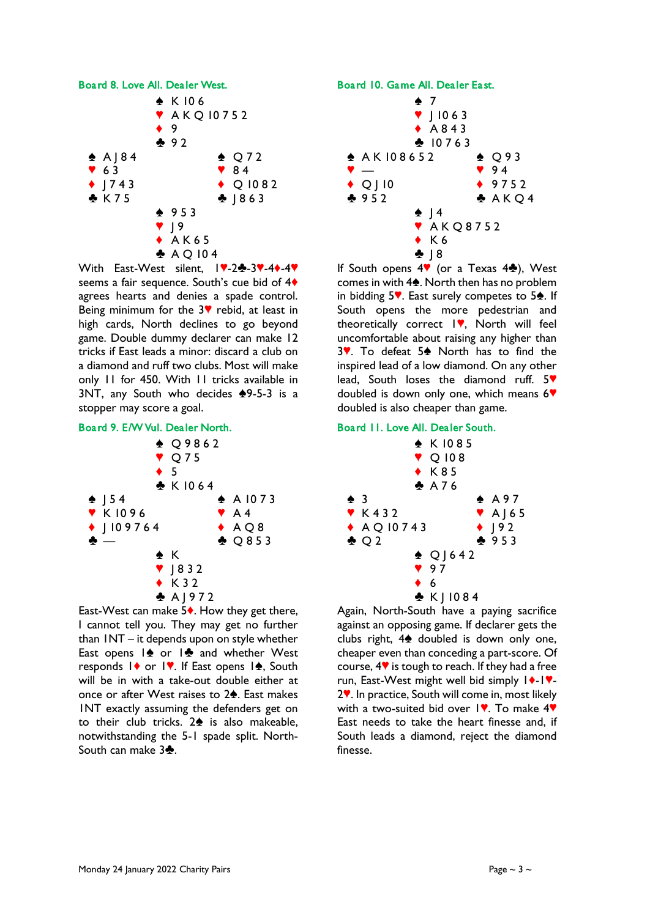

With East-West silent,  $14-2$  $-3$ ,  $-4$   $-4$ seems a fair sequence. South's cue bid of 4<sup>\*</sup> agrees hearts and denies a spade control. Being minimum for the  $3$ <sup> $\blacktriangledown$ </sup> rebid, at least in high cards, North declines to go beyond game. Double dummy declarer can make 12 tricks if East leads a minor: discard a club on a diamond and ruff two clubs. Most will make only 11 for 450. With 11 tricks available in 3NT, any South who decides  $*9-5-3$  is a stopper may score a goal.

### Board 9. E/W Vul. Dealer North.



East-West can make  $5\bullet$ . How they get there, I cannot tell you. They may get no further than 1NT – it depends upon on style whether East opens  $1\spadesuit$  or  $1\clubsuit$  and whether West responds  $\mathsf{I} \blacklozenge$  or  $\mathsf{I} \blacktriangledown$ . If East opens  $\mathsf{I} \blacklozenge$ , South will be in with a take-out double either at once or after West raises to 2<sup>4</sup>. East makes 1NT exactly assuming the defenders get on to their club tricks.  $2\spadesuit$  is also makeable, notwithstanding the 5-1 spade split. North-South can make  $3\clubsuit$ .

### Board 10. Game All. Dealer East.



If South opens  $4\Psi$  (or a Texas  $4\clubsuit$ ), West comes in with  $4\spadesuit$ . North then has no problem in bidding  $5\%$ . East surely competes to  $5\spadesuit$ . If South opens the more pedestrian and theoretically correct  $\mathsf{I}\blacktriangledown$ , North will feel uncomfortable about raising any higher than 3 $\blacktriangledown$ . To defeat 5 $\spadesuit$  North has to find the inspired lead of a low diamond. On any other lead, South loses the diamond ruff.  $5$ doubled is down only one, which means  $6\%$ doubled is also cheaper than game.

### Board 11. Love All. Dealer South.

|     |                           |  |                      | $\bullet$ K1085     |  |                                     |  |
|-----|---------------------------|--|----------------------|---------------------|--|-------------------------------------|--|
|     |                           |  |                      | $\triangledown$ 108 |  |                                     |  |
|     |                           |  |                      | $\bullet$ K85       |  |                                     |  |
|     |                           |  |                      | $A$ A 76            |  |                                     |  |
| ♠ 3 |                           |  |                      |                     |  | $\spadesuit$ A97                    |  |
|     | $\blacktriangledown$ K432 |  |                      |                     |  | $\blacktriangledown$ A $\rfloor$ 65 |  |
|     |                           |  | $\triangle$ AQ 10743 |                     |  | $\bullet$ ] 92                      |  |
|     | $\clubsuit$ $\circ$ 2     |  |                      |                     |  | 2953                                |  |
|     |                           |  |                      | $\triangle$ Q   642 |  |                                     |  |
|     |                           |  |                      | 97                  |  |                                     |  |
|     |                           |  | $\bullet$ 6          |                     |  |                                     |  |
|     |                           |  |                      | $\bullet$ K   1084  |  |                                     |  |

Again, North-South have a paying sacrifice against an opposing game. If declarer gets the clubs right,  $4\spadesuit$  doubled is down only one, cheaper even than conceding a part-score. Of course,  $4\%$  is tough to reach. If they had a free run, East-West might well bid simply  $|\cdot|$ - $|\cdot|$ .  $2$ . In practice, South will come in, most likely with a two-suited bid over  $\sqrt{ }$ . To make  $4$ <sup>\*</sup> East needs to take the heart finesse and, if South leads a diamond, reject the diamond finesse.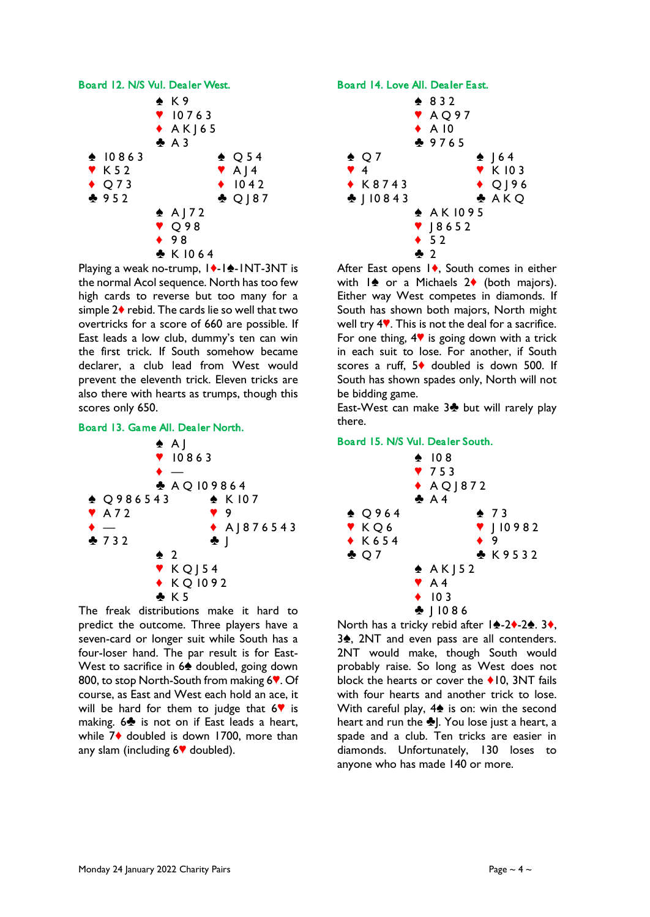

Playing a weak no-trump,  $|\cdot|$ - $|\cdot|$ -INT-3NT is the normal Acol sequence. North has too few high cards to reverse but too many for a simple  $2\blacklozenge$  rebid. The cards lie so well that two overtricks for a score of 660 are possible. If East leads a low club, dummy's ten can win the first trick. If South somehow became declarer, a club lead from West would prevent the eleventh trick. Eleven tricks are also there with hearts as trumps, though this scores only 650.





The freak distributions make it hard to predict the outcome. Three players have a seven-card or longer suit while South has a four-loser hand. The par result is for East-West to sacrifice in 6<sup> $\triangle$ </sup> doubled, going down 800, to stop North-South from making 6<sup> $\bullet$ </sup>. Of course, as East and West each hold an ace, it will be hard for them to judge that  $6$  is making.  $6\clubsuit$  is not on if East leads a heart, while  $7\blacklozenge$  doubled is down 1700, more than any slam (including  $6\P$  doubled).



After East opens  $\vert \bullet \rangle$ , South comes in either with  $\frac{1}{2}$  or a Michaels  $2\bullet$  (both majors). Either way West competes in diamonds. If South has shown both majors, North might well try  $4$ . This is not the deal for a sacrifice. For one thing,  $4\mathbf{V}$  is going down with a trick in each suit to lose. For another, if South scores a ruff,  $5\blacklozenge$  doubled is down 500. If South has shown spades only, North will not be bidding game.

East-West can make  $3\clubsuit$  but will rarely play there.

### Board 15. N/S Vul. Dealer South.



North has a tricky rebid after  $1 \cdot 2 \cdot 2 \cdot 3$ ,  $3\spadesuit$ , 2NT and even pass are all contenders. 2NT would make, though South would probably raise. So long as West does not block the hearts or cover the  $\triangle$  10, 3NT fails with four hearts and another trick to lose. With careful play,  $4\spadesuit$  is on: win the second heart and run the  $\clubsuit$ ]. You lose just a heart, a spade and a club. Ten tricks are easier in diamonds. Unfortunately, 130 loses to anyone who has made 140 or more.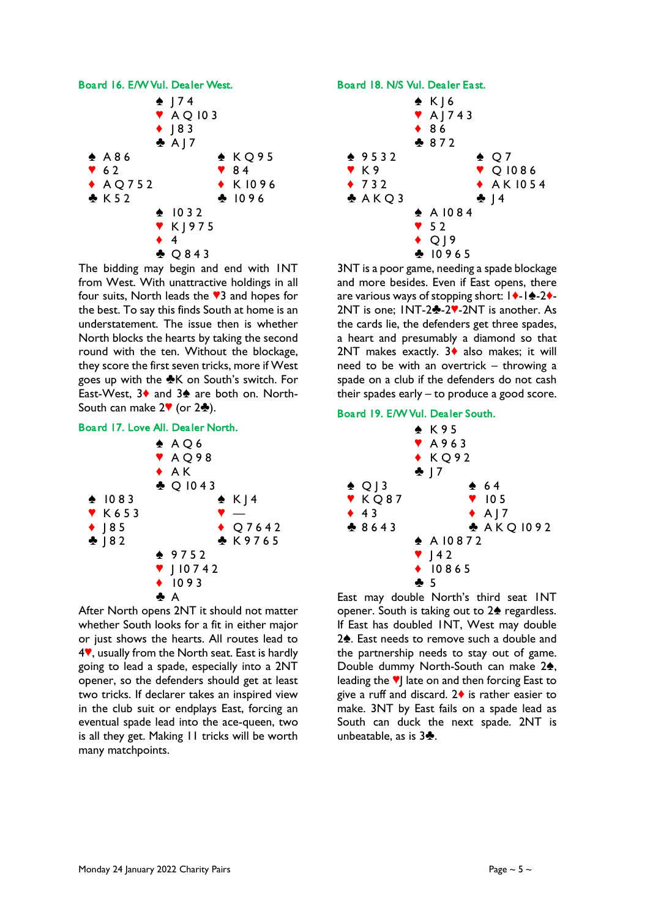

The bidding may begin and end with 1NT from West. With unattractive holdings in all four suits, North leads the  $\sqrt{3}$  and hopes for the best. To say this finds South at home is an understatement. The issue then is whether North blocks the hearts by taking the second round with the ten. Without the blockage, they score the first seven tricks, more if West goes up with the  $K$  on South's switch. For East-West,  $3\diamond$  and  $3\diamond$  are both on. North-South can make  $2\Psi$  (or  $2\clubsuit$ ).

#### Board 17. Love All. Dealer North.



After North opens 2NT it should not matter whether South looks for a fit in either major or just shows the hearts. All routes lead to  $4$ , usually from the North seat. East is hardly going to lead a spade, especially into a 2NT opener, so the defenders should get at least two tricks. If declarer takes an inspired view in the club suit or endplays East, forcing an eventual spade lead into the ace-queen, two is all they get. Making 11 tricks will be worth many matchpoints.

## Board 18. N/S Vul. Dealer East.



3NT is a poor game, needing a spade blockage and more besides. Even if East opens, there are various ways of stopping short:  $\mathbf{1}\cdot\mathbf{1}\cdot\mathbf{2}\cdot\mathbf{4}$ - $2NT$  is one;  $INT-2$  $-2$  $-2NT$  is another. As the cards lie, the defenders get three spades, a heart and presumably a diamond so that 2NT makes exactly.  $3\blacklozenge$  also makes; it will need to be with an overtrick – throwing a spade on a club if the defenders do not cash their spades early – to produce a good score.

### Board 19. E/W Vul. Dealer South.



East may double North's third seat 1NT opener. South is taking out to 2<sup>4</sup> regardless. If East has doubled 1NT, West may double  $2\spadesuit$ . East needs to remove such a double and the partnership needs to stay out of game. Double dummy North-South can make 2<sup>2</sup>, leading the  $\blacktriangledown$  late on and then forcing East to give a ruff and discard.  $2\blacklozenge$  is rather easier to make. 3NT by East fails on a spade lead as South can duck the next spade. 2NT is unbeatable, as is  $3\clubsuit$ .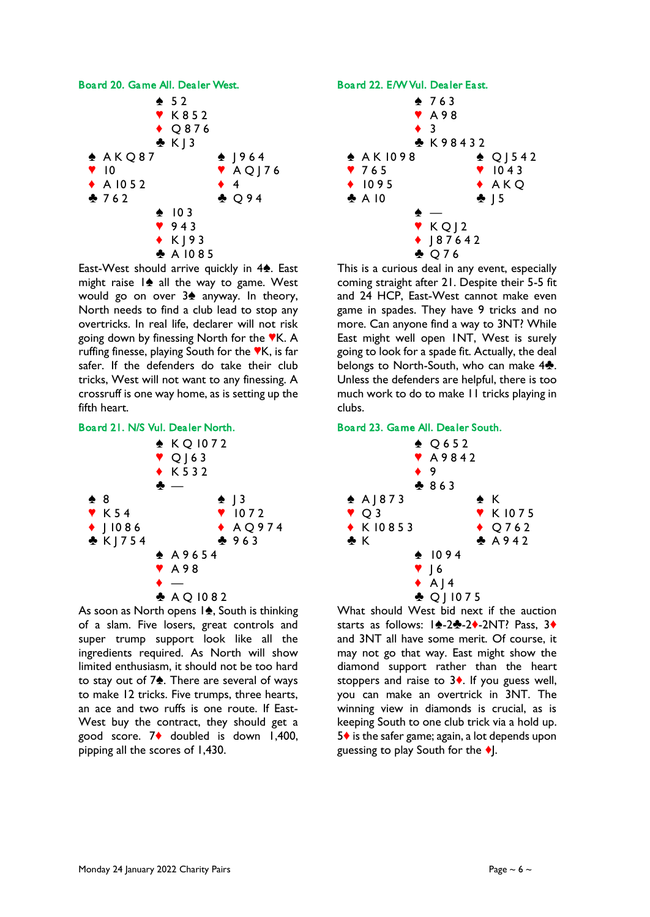

East-West should arrive quickly in  $4\spadesuit$ . East might raise  $|\cdot\>$  all the way to game. West would go on over  $3\spadesuit$  anyway. In theory, North needs to find a club lead to stop any overtricks. In real life, declarer will not risk going down by finessing North for the  $\mathbb{V}$ K. A ruffing finesse, playing South for the  $\nabla K$ , is far safer. If the defenders do take their club tricks, West will not want to any finessing. A crossruff is one way home, as is setting up the fifth heart.





As soon as North opens  $1\spadesuit$ , South is thinking of a slam. Five losers, great controls and super trump support look like all the ingredients required. As North will show limited enthusiasm, it should not be too hard to stay out of  $7\spadesuit$ . There are several of ways to make 12 tricks. Five trumps, three hearts, an ace and two ruffs is one route. If East-West buy the contract, they should get a good score. 7<sup> $\bullet$ </sup> doubled is down 1,400, pipping all the scores of 1,430.



This is a curious deal in any event, especially coming straight after 21. Despite their 5-5 fit and 24 HCP, East-West cannot make even game in spades. They have 9 tricks and no more. Can anyone find a way to 3NT? While East might well open 1NT, West is surely going to look for a spade fit. Actually, the deal belongs to North-South, who can make  $4\clubsuit$ . Unless the defenders are helpful, there is too much work to do to make 11 tricks playing in clubs.

### Board 23. Game All. Dealer South.



What should West bid next if the auction starts as follows: 14-24-24-2NT? Pass, 3+ and 3NT all have some merit. Of course, it may not go that way. East might show the diamond support rather than the heart stoppers and raise to  $3\blacklozenge$ . If you guess well, you can make an overtrick in 3NT. The winning view in diamonds is crucial, as is keeping South to one club trick via a hold up.  $5\diamond$  is the safer game; again, a lot depends upon guessing to play South for the  $\bullet$ .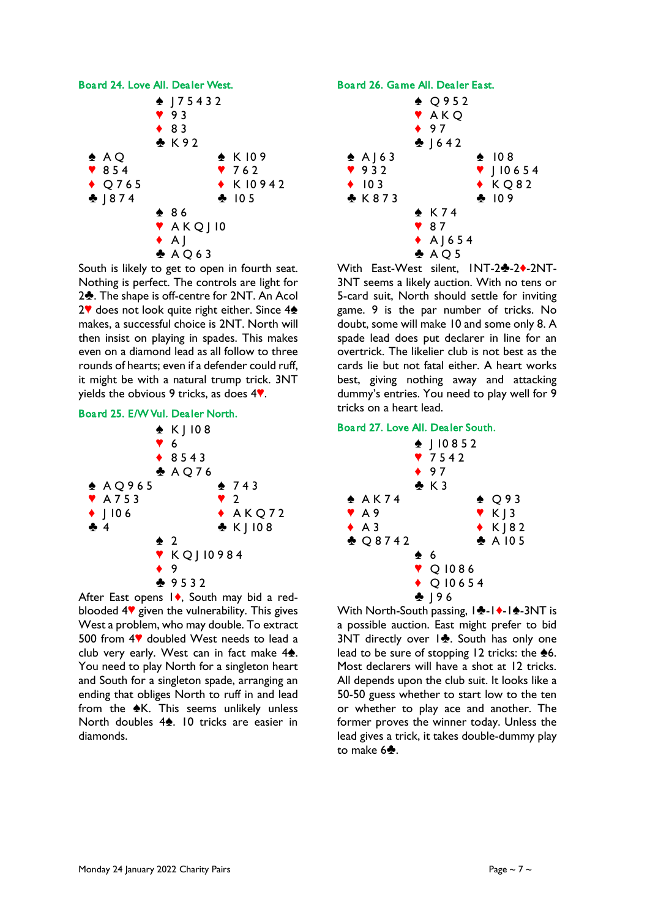

South is likely to get to open in fourth seat. Nothing is perfect. The controls are light for 2<sup>2</sup>. The shape is off-centre for 2NT. An Acol  $2^{\nabla}$  does not look quite right either. Since  $4\triangle$ makes, a successful choice is 2NT. North will then insist on playing in spades. This makes even on a diamond lead as all follow to three rounds of hearts; even if a defender could ruff, it might be with a natural trump trick. 3NT yields the obvious 9 tricks, as does  $4$ .





After East opens  $1\blacklozenge$ , South may bid a redblooded  $4$ <sup> $\blacktriangledown$ </sup> given the vulnerability. This gives West a problem, who may double. To extract 500 from  $4$ <sup> $\blacktriangledown$ </sup> doubled West needs to lead a club very early. West can in fact make  $4\spadesuit$ . You need to play North for a singleton heart and South for a singleton spade, arranging an ending that obliges North to ruff in and lead from the  $\triangle$ K. This seems unlikely unless North doubles  $4\spadesuit$ . 10 tricks are easier in diamonds.





With East-West silent, INT-24-24-2NT-3NT seems a likely auction. With no tens or 5-card suit, North should settle for inviting game. 9 is the par number of tricks. No doubt, some will make 10 and some only 8. A spade lead does put declarer in line for an overtrick. The likelier club is not best as the cards lie but not fatal either. A heart works best, giving nothing away and attacking dummy's entries. You need to play well for 9 tricks on a heart lead.

# Board 27. Love All. Dealer South.

|                     |  |               | $\bullet$ 97    | $\bullet$   10852<br>7542 |  |                   |  |  |
|---------------------|--|---------------|-----------------|---------------------------|--|-------------------|--|--|
|                     |  |               | $\clubsuit$ K 3 |                           |  |                   |  |  |
| ♠ A K 7 4           |  |               |                 |                           |  | $\triangle$ Q93   |  |  |
| $\Psi$ A9           |  |               |                 |                           |  | $Y K$ ] 3         |  |  |
| $\blacklozenge$ A 3 |  |               |                 |                           |  | $\star$ K J 8 2   |  |  |
| $\clubsuit$ Q8742   |  |               |                 |                           |  | $\clubsuit$ A 105 |  |  |
|                     |  | $\clubsuit$ 6 |                 |                           |  |                   |  |  |
|                     |  |               |                 | ♥ Q 1086                  |  |                   |  |  |
|                     |  |               |                 | $\triangle$ Q 10654       |  |                   |  |  |
|                     |  |               | $\cdot$   96    |                           |  |                   |  |  |

With North-South passing,  $|\cdot \cdot|$ -1 $\cdot$ -3NT is a possible auction. East might prefer to bid 3NT directly over  $|\clubsuit$ . South has only one lead to be sure of stopping 12 tricks: the  $\triangle 6$ . Most declarers will have a shot at 12 tricks. All depends upon the club suit. It looks like a 50-50 guess whether to start low to the ten or whether to play ace and another. The former proves the winner today. Unless the lead gives a trick, it takes double-dummy play to make  $6$ .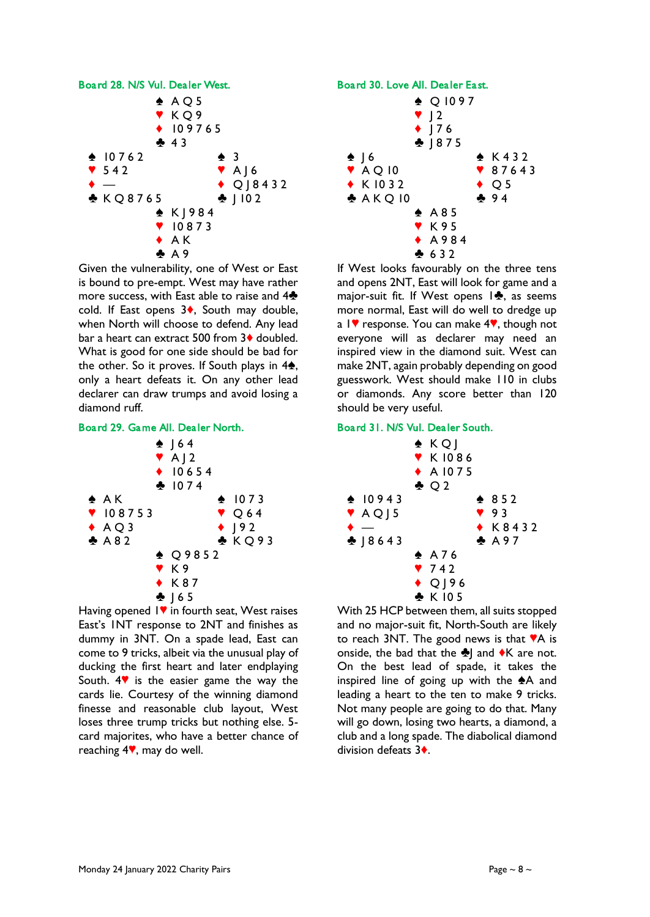

Given the vulnerability, one of West or East is bound to pre-empt. West may have rather more success, with East able to raise and  $4\clubsuit$ cold. If East opens  $3\diamond$ , South may double, when North will choose to defend. Any lead bar a heart can extract 500 from  $3\blacklozenge$  doubled. What is good for one side should be bad for the other. So it proves. If South plays in  $4\spadesuit$ , only a heart defeats it. On any other lead declarer can draw trumps and avoid losing a diamond ruff.





Having opened  $\mathsf{I}\blacktriangledown$  in fourth seat, West raises East's 1NT response to 2NT and finishes as dummy in 3NT. On a spade lead, East can come to 9 tricks, albeit via the unusual play of ducking the first heart and later endplaying South.  $4$  is the easier game the way the cards lie. Courtesy of the winning diamond finesse and reasonable club layout, West loses three trump tricks but nothing else. 5 card majorites, who have a better chance of reaching  $4$ , may do well.



 $* A 9 8 4$  $632$ 

If West looks favourably on the three tens and opens 2NT, East will look for game and a major-suit fit. If West opens  $\mathbf{1}\cdot\mathbf{3}$ , as seems more normal, East will do well to dredge up a  $1$  response. You can make  $4$ , though not everyone will as declarer may need an inspired view in the diamond suit. West can make 2NT, again probably depending on good guesswork. West should make 110 in clubs or diamonds. Any score better than 120 should be very useful.

## Board 31. N/S Vul. Dealer South.

|                             | $\triangle$ KQ]<br><b>V</b> K1086<br>$\triangle$ A 1075<br>$\clubsuit$ Q 2 |                 |  |
|-----------------------------|----------------------------------------------------------------------------|-----------------|--|
| $\spadesuit$ 10943          |                                                                            | $* 852$         |  |
| $\blacktriangledown$ AQ   5 |                                                                            | 93              |  |
| ٠                           |                                                                            | $\bullet$ K8432 |  |
| $-18643$                    |                                                                            | A 97            |  |
|                             | $\spadesuit$ A76                                                           |                 |  |
|                             | 9742                                                                       |                 |  |
|                             | $\bigstar$ Q $\bigcup$ 96                                                  |                 |  |
|                             | ♣ K105                                                                     |                 |  |

With 25 HCP between them, all suits stopped and no major-suit fit, North-South are likely to reach  $3NT$ . The good news is that  $TA$  is onside, the bad that the  $\clubsuit$ ] and  $\blacklozenge$ K are not. On the best lead of spade, it takes the inspired line of going up with the  $A$  and leading a heart to the ten to make 9 tricks. Not many people are going to do that. Many will go down, losing two hearts, a diamond, a club and a long spade. The diabolical diamond division defeats 3<sup>+</sup>.